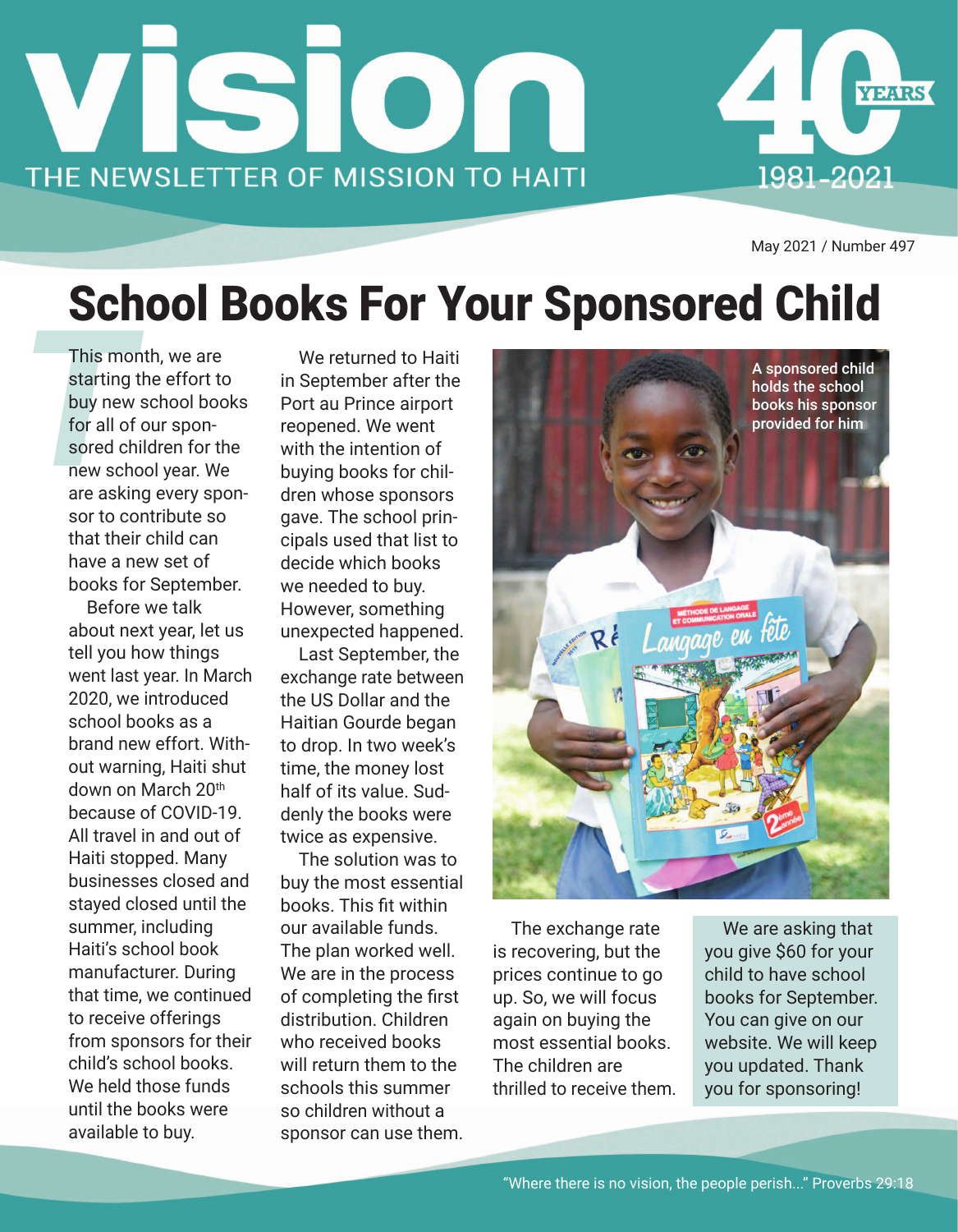



May 2021 / Number 497

## School Books For Your Sponsored Child

This mo<br>starting<br>buy new<br>for all of<br>sored ch<br>new sch<br>are askin This month, we are starting the effort to buy new school books for all of our sponsored children for the new school year. We are asking every sponsor to contribute so that their child can have a new set of books for September.

Before we talk about next year, let us tell you how things went last year. In March 2020, we introduced school books as a brand new effort. Without warning, Haiti shut down on March 20th because of COVID-19. All travel in and out of Haiti stopped. Many businesses closed and stayed closed until the summer, including Haiti's school book manufacturer. During that time, we continued to receive offerings from sponsors for their child's school books. We held those funds until the books were available to buy.

We returned to Haiti in September after the Port au Prince airport reopened. We went with the intention of buying books for children whose sponsors gave. The school principals used that list to decide which books we needed to buy. However, something unexpected happened.

Last September, the exchange rate between the US Dollar and the Haitian Gourde began to drop. In two week's time, the money lost half of its value. Suddenly the books were twice as expensive.

The solution was to buy the most essential books. This fit within our available funds. The plan worked well. We are in the process of completing the first distribution. Children who received books will return them to the schools this summer so children without a sponsor can use them.



The exchange rate is recovering, but the prices continue to go up. So, we will focus again on buying the most essential books. The children are thrilled to receive them.

We are asking that you give \$60 for your child to have school books for September. You can give on our website. We will keep you updated. Thank you for sponsoring!